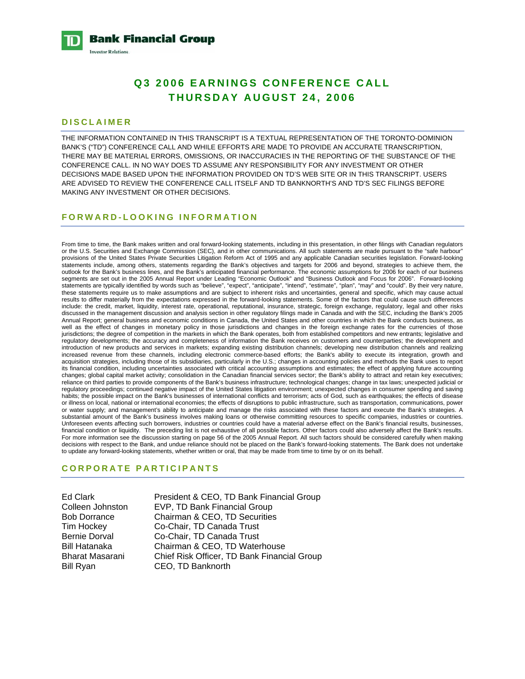**Bank Financial Group Investor Relations** 

# **Q3 2006 EARNINGS CONFERENCE CALL THURSDAY AUGUST 24, 2006**

### **DISCLAIMER**

THE INFORMATION CONTAINED IN THIS TRANSCRIPT IS A TEXTUAL REPRESENTATION OF THE TORONTO-DOMINION BANK'S ("TD") CONFERENCE CALL AND WHILE EFFORTS ARE MADE TO PROVIDE AN ACCURATE TRANSCRIPTION, THERE MAY BE MATERIAL ERRORS, OMISSIONS, OR INACCURACIES IN THE REPORTING OF THE SUBSTANCE OF THE CONFERENCE CALL. IN NO WAY DOES TD ASSUME ANY RESPONSIBILITY FOR ANY INVESTMENT OR OTHER DECISIONS MADE BASED UPON THE INFORMATION PROVIDED ON TD'S WEB SITE OR IN THIS TRANSCRIPT. USERS ARE ADVISED TO REVIEW THE CONFERENCE CALL ITSELF AND TD BANKNORTH'S AND TD'S SEC FILINGS BEFORE MAKING ANY INVESTMENT OR OTHER DECISIONS.

### **FORWARD-LOOKING INFORMATION**

From time to time, the Bank makes written and oral forward-looking statements, including in this presentation, in other filings with Canadian regulators or the U.S. Securities and Exchange Commission (SEC), and in other communications. All such statements are made pursuant to the "safe harbour" provisions of the United States Private Securities Litigation Reform Act of 1995 and any applicable Canadian securities legislation. Forward-looking statements include, among others, statements regarding the Bank's objectives and targets for 2006 and beyond, strategies to achieve them, the outlook for the Bank's business lines, and the Bank's anticipated financial performance. The economic assumptions for 2006 for each of our business segments are set out in the 2005 Annual Report under Leading "Economic Outlook" and "Business Outlook and Focus for 2006". Forward-looking statements are typically identified by words such as "believe", "expect", "anticipate", "intend", "estimate", "plan", "may" and "could". By their very nature, these statements require us to make assumptions and are subject to inherent risks and uncertainties, general and specific, which may cause actual results to differ materially from the expectations expressed in the forward-looking statements. Some of the factors that could cause such differences include: the credit, market, liquidity, interest rate, operational, reputational, insurance, strategic, foreign exchange, regulatory, legal and other risks discussed in the management discussion and analysis section in other regulatory filings made in Canada and with the SEC, including the Bank's 2005 Annual Report; general business and economic conditions in Canada, the United States and other countries in which the Bank conducts business, as well as the effect of changes in monetary policy in those jurisdictions and changes in the foreign exchange rates for the currencies of those jurisdictions; the degree of competition in the markets in which the Bank operates, both from established competitors and new entrants; legislative and regulatory developments; the accuracy and completeness of information the Bank receives on customers and counterparties; the development and introduction of new products and services in markets; expanding existing distribution channels; developing new distribution channels and realizing increased revenue from these channels, including electronic commerce-based efforts; the Bank's ability to execute its integration, growth and acquisition strategies, including those of its subsidiaries, particularly in the U.S.; changes in accounting policies and methods the Bank uses to report its financial condition, including uncertainties associated with critical accounting assumptions and estimates; the effect of applying future accounting changes; global capital market activity; consolidation in the Canadian financial services sector; the Bank's ability to attract and retain key executives; reliance on third parties to provide components of the Bank's business infrastructure; technological changes; change in tax laws; unexpected judicial or regulatory proceedings; continued negative impact of the United States litigation environment; unexpected changes in consumer spending and saving habits; the possible impact on the Bank's businesses of international conflicts and terrorism; acts of God, such as earthquakes; the effects of disease or illness on local, national or international economies; the effects of disruptions to public infrastructure, such as transportation, communications, power or water supply; and management's ability to anticipate and manage the risks associated with these factors and execute the Bank's strategies. A substantial amount of the Bank's business involves making loans or otherwise committing resources to specific companies, industries or countries. Unforeseen events affecting such borrowers, industries or countries could have a material adverse effect on the Bank's financial results, businesses, financial condition or liquidity. The preceding list is not exhaustive of all possible factors. Other factors could also adversely affect the Bank's results. For more information see the discussion starting on page 56 of the 2005 Annual Report. All such factors should be considered carefully when making decisions with respect to the Bank, and undue reliance should not be placed on the Bank's forward-looking statements. The Bank does not undertake to update any forward-looking statements, whether written or oral, that may be made from time to time by or on its behalf.

#### **CORPORATE PARTICIPANTS**

Ed Clark President & CEO, TD Bank Financial Group Colleen Johnston EVP, TD Bank Financial Group Bob Dorrance Chairman & CEO, TD Securities Tim Hockey Co-Chair, TD Canada Trust Bernie Dorval Co-Chair, TD Canada Trust Bill Hatanaka Chairman & CEO, TD Waterhouse Bharat Masarani Chief Risk Officer, TD Bank Financial Group Bill Ryan CEO, TD Banknorth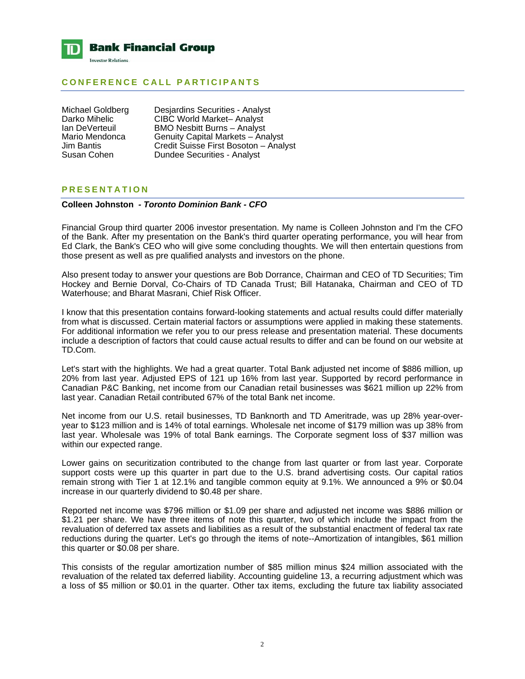

## **CONFERENCE CALL PARTICIPANTS**

Michael Goldberg Desjardins Securities - Analyst<br>Darko Mihelic CIBC World Market-- Analyst Darko Mihelic CIBC World Market– Analyst<br>Ian DeVerteuil BMO Nesbitt Burns – Analyst Ian DeVerteuil BMO Nesbitt Burns – Analyst<br>Mario Mendonca Genuity Capital Markets – Ana Mario Mendonca Genuity Capital Markets – Analyst<br>Jim Bantis Credit Suisse First Bosoton – Anal Jim Bantis Credit Suisse First Bosoton – Analyst **Dundee Securities - Analyst** 

## **PRESENTATION**

#### **Colleen Johnston** *- Toronto Dominion Bank - CFO*

Financial Group third quarter 2006 investor presentation. My name is Colleen Johnston and I'm the CFO of the Bank. After my presentation on the Bank's third quarter operating performance, you will hear from Ed Clark, the Bank's CEO who will give some concluding thoughts. We will then entertain questions from those present as well as pre qualified analysts and investors on the phone.

Also present today to answer your questions are Bob Dorrance, Chairman and CEO of TD Securities; Tim Hockey and Bernie Dorval, Co-Chairs of TD Canada Trust; Bill Hatanaka, Chairman and CEO of TD Waterhouse; and Bharat Masrani, Chief Risk Officer.

I know that this presentation contains forward-looking statements and actual results could differ materially from what is discussed. Certain material factors or assumptions were applied in making these statements. For additional information we refer you to our press release and presentation material. These documents include a description of factors that could cause actual results to differ and can be found on our website at TD.Com.

Let's start with the highlights. We had a great quarter. Total Bank adjusted net income of \$886 million, up 20% from last year. Adjusted EPS of 121 up 16% from last year. Supported by record performance in Canadian P&C Banking, net income from our Canadian retail businesses was \$621 million up 22% from last year. Canadian Retail contributed 67% of the total Bank net income.

Net income from our U.S. retail businesses, TD Banknorth and TD Ameritrade, was up 28% year-overyear to \$123 million and is 14% of total earnings. Wholesale net income of \$179 million was up 38% from last year. Wholesale was 19% of total Bank earnings. The Corporate segment loss of \$37 million was within our expected range.

Lower gains on securitization contributed to the change from last quarter or from last year. Corporate support costs were up this quarter in part due to the U.S. brand advertising costs. Our capital ratios remain strong with Tier 1 at 12.1% and tangible common equity at 9.1%. We announced a 9% or \$0.04 increase in our quarterly dividend to \$0.48 per share.

Reported net income was \$796 million or \$1.09 per share and adjusted net income was \$886 million or \$1.21 per share. We have three items of note this quarter, two of which include the impact from the revaluation of deferred tax assets and liabilities as a result of the substantial enactment of federal tax rate reductions during the quarter. Let's go through the items of note--Amortization of intangibles, \$61 million this quarter or \$0.08 per share.

This consists of the regular amortization number of \$85 million minus \$24 million associated with the revaluation of the related tax deferred liability. Accounting guideline 13, a recurring adjustment which was a loss of \$5 million or \$0.01 in the quarter. Other tax items, excluding the future tax liability associated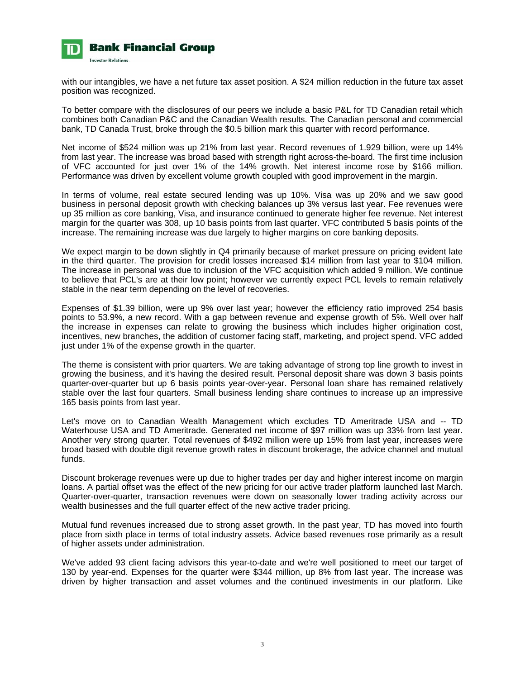

with our intangibles, we have a net future tax asset position. A \$24 million reduction in the future tax asset position was recognized.

To better compare with the disclosures of our peers we include a basic P&L for TD Canadian retail which combines both Canadian P&C and the Canadian Wealth results. The Canadian personal and commercial bank, TD Canada Trust, broke through the \$0.5 billion mark this quarter with record performance.

Net income of \$524 million was up 21% from last year. Record revenues of 1.929 billion, were up 14% from last year. The increase was broad based with strength right across-the-board. The first time inclusion of VFC accounted for just over 1% of the 14% growth. Net interest income rose by \$166 million. Performance was driven by excellent volume growth coupled with good improvement in the margin.

In terms of volume, real estate secured lending was up 10%. Visa was up 20% and we saw good business in personal deposit growth with checking balances up 3% versus last year. Fee revenues were up 35 million as core banking, Visa, and insurance continued to generate higher fee revenue. Net interest margin for the quarter was 308, up 10 basis points from last quarter. VFC contributed 5 basis points of the increase. The remaining increase was due largely to higher margins on core banking deposits.

We expect margin to be down slightly in Q4 primarily because of market pressure on pricing evident late in the third quarter. The provision for credit losses increased \$14 million from last year to \$104 million. The increase in personal was due to inclusion of the VFC acquisition which added 9 million. We continue to believe that PCL's are at their low point; however we currently expect PCL levels to remain relatively stable in the near term depending on the level of recoveries.

Expenses of \$1.39 billion, were up 9% over last year; however the efficiency ratio improved 254 basis points to 53.9%, a new record. With a gap between revenue and expense growth of 5%. Well over half the increase in expenses can relate to growing the business which includes higher origination cost, incentives, new branches, the addition of customer facing staff, marketing, and project spend. VFC added just under 1% of the expense growth in the quarter.

The theme is consistent with prior quarters. We are taking advantage of strong top line growth to invest in growing the business, and it's having the desired result. Personal deposit share was down 3 basis points quarter-over-quarter but up 6 basis points year-over-year. Personal loan share has remained relatively stable over the last four quarters. Small business lending share continues to increase up an impressive 165 basis points from last year.

Let's move on to Canadian Wealth Management which excludes TD Ameritrade USA and -- TD Waterhouse USA and TD Ameritrade. Generated net income of \$97 million was up 33% from last year. Another very strong quarter. Total revenues of \$492 million were up 15% from last year, increases were broad based with double digit revenue growth rates in discount brokerage, the advice channel and mutual funds.

Discount brokerage revenues were up due to higher trades per day and higher interest income on margin loans. A partial offset was the effect of the new pricing for our active trader platform launched last March. Quarter-over-quarter, transaction revenues were down on seasonally lower trading activity across our wealth businesses and the full quarter effect of the new active trader pricing.

Mutual fund revenues increased due to strong asset growth. In the past year, TD has moved into fourth place from sixth place in terms of total industry assets. Advice based revenues rose primarily as a result of higher assets under administration.

We've added 93 client facing advisors this year-to-date and we're well positioned to meet our target of 130 by year-end. Expenses for the quarter were \$344 million, up 8% from last year. The increase was driven by higher transaction and asset volumes and the continued investments in our platform. Like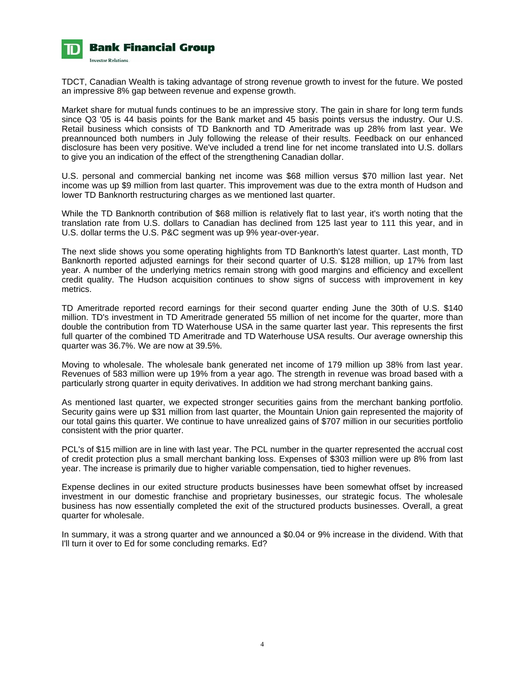

TDCT, Canadian Wealth is taking advantage of strong revenue growth to invest for the future. We posted an impressive 8% gap between revenue and expense growth.

Market share for mutual funds continues to be an impressive story. The gain in share for long term funds since Q3 '05 is 44 basis points for the Bank market and 45 basis points versus the industry. Our U.S. Retail business which consists of TD Banknorth and TD Ameritrade was up 28% from last year. We preannounced both numbers in July following the release of their results. Feedback on our enhanced disclosure has been very positive. We've included a trend line for net income translated into U.S. dollars to give you an indication of the effect of the strengthening Canadian dollar.

U.S. personal and commercial banking net income was \$68 million versus \$70 million last year. Net income was up \$9 million from last quarter. This improvement was due to the extra month of Hudson and lower TD Banknorth restructuring charges as we mentioned last quarter.

While the TD Banknorth contribution of \$68 million is relatively flat to last year, it's worth noting that the translation rate from U.S. dollars to Canadian has declined from 125 last year to 111 this year, and in U.S. dollar terms the U.S. P&C segment was up 9% year-over-year.

The next slide shows you some operating highlights from TD Banknorth's latest quarter. Last month, TD Banknorth reported adjusted earnings for their second quarter of U.S. \$128 million, up 17% from last year. A number of the underlying metrics remain strong with good margins and efficiency and excellent credit quality. The Hudson acquisition continues to show signs of success with improvement in key metrics.

TD Ameritrade reported record earnings for their second quarter ending June the 30th of U.S. \$140 million. TD's investment in TD Ameritrade generated 55 million of net income for the quarter, more than double the contribution from TD Waterhouse USA in the same quarter last year. This represents the first full quarter of the combined TD Ameritrade and TD Waterhouse USA results. Our average ownership this quarter was 36.7%. We are now at 39.5%.

Moving to wholesale. The wholesale bank generated net income of 179 million up 38% from last year. Revenues of 583 million were up 19% from a year ago. The strength in revenue was broad based with a particularly strong quarter in equity derivatives. In addition we had strong merchant banking gains.

As mentioned last quarter, we expected stronger securities gains from the merchant banking portfolio. Security gains were up \$31 million from last quarter, the Mountain Union gain represented the majority of our total gains this quarter. We continue to have unrealized gains of \$707 million in our securities portfolio consistent with the prior quarter.

PCL's of \$15 million are in line with last year. The PCL number in the quarter represented the accrual cost of credit protection plus a small merchant banking loss. Expenses of \$303 million were up 8% from last year. The increase is primarily due to higher variable compensation, tied to higher revenues.

Expense declines in our exited structure products businesses have been somewhat offset by increased investment in our domestic franchise and proprietary businesses, our strategic focus. The wholesale business has now essentially completed the exit of the structured products businesses. Overall, a great quarter for wholesale.

In summary, it was a strong quarter and we announced a \$0.04 or 9% increase in the dividend. With that I'll turn it over to Ed for some concluding remarks. Ed?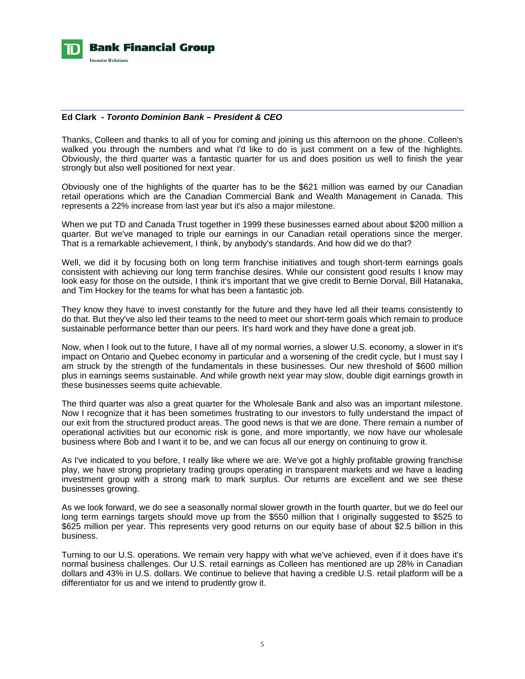

### **Ed Clark** *- Toronto Dominion Bank – President & CEO*

Thanks, Colleen and thanks to all of you for coming and joining us this afternoon on the phone. Colleen's walked you through the numbers and what I'd like to do is just comment on a few of the highlights. Obviously, the third quarter was a fantastic quarter for us and does position us well to finish the year strongly but also well positioned for next year.

Obviously one of the highlights of the quarter has to be the \$621 million was earned by our Canadian retail operations which are the Canadian Commercial Bank and Wealth Management in Canada. This represents a 22% increase from last year but it's also a major milestone.

When we put TD and Canada Trust together in 1999 these businesses earned about about \$200 million a quarter. But we've managed to triple our earnings in our Canadian retail operations since the merger. That is a remarkable achievement, I think, by anybody's standards. And how did we do that?

Well, we did it by focusing both on long term franchise initiatives and tough short-term earnings goals consistent with achieving our long term franchise desires. While our consistent good results I know may look easy for those on the outside, I think it's important that we give credit to Bernie Dorval, Bill Hatanaka, and Tim Hockey for the teams for what has been a fantastic job.

They know they have to invest constantly for the future and they have led all their teams consistently to do that. But they've also led their teams to the need to meet our short-term goals which remain to produce sustainable performance better than our peers. It's hard work and they have done a great job.

Now, when I look out to the future, I have all of my normal worries, a slower U.S. economy, a slower in it's impact on Ontario and Quebec economy in particular and a worsening of the credit cycle, but I must say I am struck by the strength of the fundamentals in these businesses. Our new threshold of \$600 million plus in earnings seems sustainable. And while growth next year may slow, double digit earnings growth in these businesses seems quite achievable.

The third quarter was also a great quarter for the Wholesale Bank and also was an important milestone. Now I recognize that it has been sometimes frustrating to our investors to fully understand the impact of our exit from the structured product areas. The good news is that we are done. There remain a number of operational activities but our economic risk is gone, and more importantly, we now have our wholesale business where Bob and I want it to be, and we can focus all our energy on continuing to grow it.

As I've indicated to you before, I really like where we are. We've got a highly profitable growing franchise play, we have strong proprietary trading groups operating in transparent markets and we have a leading investment group with a strong mark to mark surplus. Our returns are excellent and we see these businesses growing.

As we look forward, we do see a seasonally normal slower growth in the fourth quarter, but we do feel our long term earnings targets should move up from the \$550 million that I originally suggested to \$525 to \$625 million per year. This represents very good returns on our equity base of about \$2.5 billion in this business.

Turning to our U.S. operations. We remain very happy with what we've achieved, even if it does have it's normal business challenges. Our U.S. retail earnings as Colleen has mentioned are up 28% in Canadian dollars and 43% in U.S. dollars. We continue to believe that having a credible U.S. retail platform will be a differentiator for us and we intend to prudently grow it.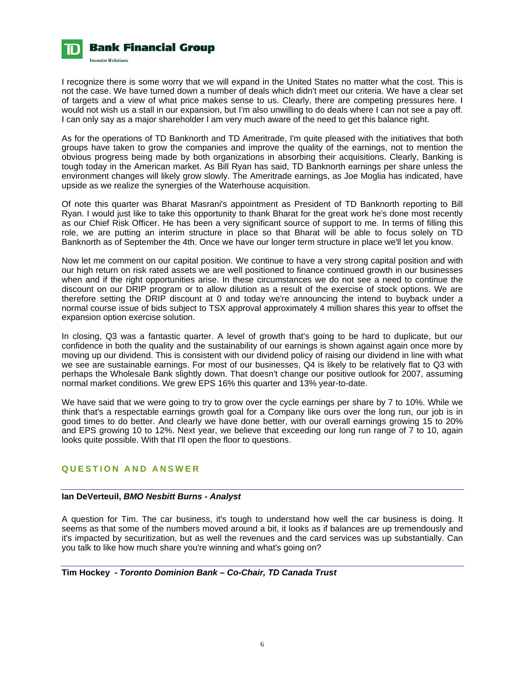

I recognize there is some worry that we will expand in the United States no matter what the cost. This is not the case. We have turned down a number of deals which didn't meet our criteria. We have a clear set of targets and a view of what price makes sense to us. Clearly, there are competing pressures here. I would not wish us a stall in our expansion, but I'm also unwilling to do deals where I can not see a pay off. I can only say as a major shareholder I am very much aware of the need to get this balance right.

As for the operations of TD Banknorth and TD Ameritrade, I'm quite pleased with the initiatives that both groups have taken to grow the companies and improve the quality of the earnings, not to mention the obvious progress being made by both organizations in absorbing their acquisitions. Clearly, Banking is tough today in the American market. As Bill Ryan has said, TD Banknorth earnings per share unless the environment changes will likely grow slowly. The Ameritrade earnings, as Joe Moglia has indicated, have upside as we realize the synergies of the Waterhouse acquisition.

Of note this quarter was Bharat Masrani's appointment as President of TD Banknorth reporting to Bill Ryan. I would just like to take this opportunity to thank Bharat for the great work he's done most recently as our Chief Risk Officer. He has been a very significant source of support to me. In terms of filling this role, we are putting an interim structure in place so that Bharat will be able to focus solely on TD Banknorth as of September the 4th. Once we have our longer term structure in place we'll let you know.

Now let me comment on our capital position. We continue to have a very strong capital position and with our high return on risk rated assets we are well positioned to finance continued growth in our businesses when and if the right opportunities arise. In these circumstances we do not see a need to continue the discount on our DRIP program or to allow dilution as a result of the exercise of stock options. We are therefore setting the DRIP discount at 0 and today we're announcing the intend to buyback under a normal course issue of bids subject to TSX approval approximately 4 million shares this year to offset the expansion option exercise solution.

In closing, Q3 was a fantastic quarter. A level of growth that's going to be hard to duplicate, but our confidence in both the quality and the sustainability of our earnings is shown against again once more by moving up our dividend. This is consistent with our dividend policy of raising our dividend in line with what we see are sustainable earnings. For most of our businesses, Q4 is likely to be relatively flat to Q3 with perhaps the Wholesale Bank slightly down. That doesn't change our positive outlook for 2007, assuming normal market conditions. We grew EPS 16% this quarter and 13% year-to-date.

We have said that we were going to try to grow over the cycle earnings per share by 7 to 10%. While we think that's a respectable earnings growth goal for a Company like ours over the long run, our job is in good times to do better. And clearly we have done better, with our overall earnings growing 15 to 20% and EPS growing 10 to 12%. Next year, we believe that exceeding our long run range of 7 to 10, again looks quite possible. With that I'll open the floor to questions.

## **QUESTION AND ANSWER**

## **Ian DeVerteuil,** *BMO Nesbitt Burns - Analyst*

A question for Tim. The car business, it's tough to understand how well the car business is doing. It seems as that some of the numbers moved around a bit, it looks as if balances are up tremendously and it's impacted by securitization, but as well the revenues and the card services was up substantially. Can you talk to like how much share you're winning and what's going on?

## **Tim Hockey** *- Toronto Dominion Bank – Co-Chair, TD Canada Trust*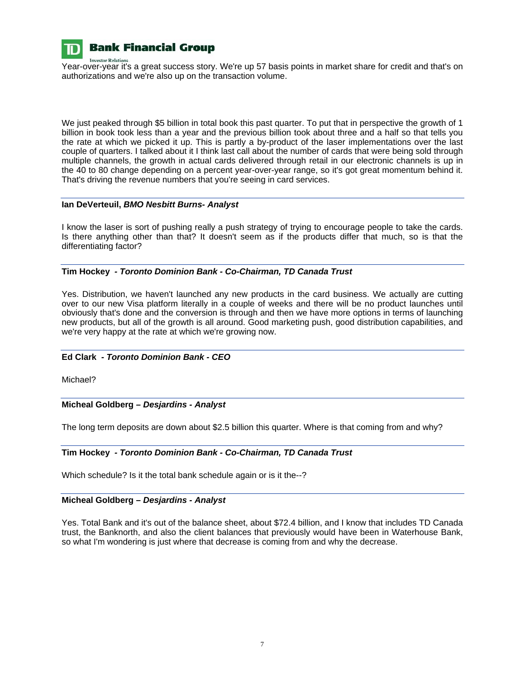

**Investor Relation** 

# **Bank Financial Group**

Year-over-year it's a great success story. We're up 57 basis points in market share for credit and that's on authorizations and we're also up on the transaction volume.

We just peaked through \$5 billion in total book this past quarter. To put that in perspective the growth of 1 billion in book took less than a year and the previous billion took about three and a half so that tells you the rate at which we picked it up. This is partly a by-product of the laser implementations over the last couple of quarters. I talked about it I think last call about the number of cards that were being sold through multiple channels, the growth in actual cards delivered through retail in our electronic channels is up in the 40 to 80 change depending on a percent year-over-year range, so it's got great momentum behind it. That's driving the revenue numbers that you're seeing in card services.

## **Ian DeVerteuil,** *BMO Nesbitt Burns- Analyst*

I know the laser is sort of pushing really a push strategy of trying to encourage people to take the cards. Is there anything other than that? It doesn't seem as if the products differ that much, so is that the differentiating factor?

## **Tim Hockey** *- Toronto Dominion Bank - Co-Chairman, TD Canada Trust*

Yes. Distribution, we haven't launched any new products in the card business. We actually are cutting over to our new Visa platform literally in a couple of weeks and there will be no product launches until obviously that's done and the conversion is through and then we have more options in terms of launching new products, but all of the growth is all around. Good marketing push, good distribution capabilities, and we're very happy at the rate at which we're growing now.

## **Ed Clark** *- Toronto Dominion Bank - CEO*

Michael?

## **Micheal Goldberg** *– Desjardins - Analyst*

The long term deposits are down about \$2.5 billion this quarter. Where is that coming from and why?

## **Tim Hockey** *- Toronto Dominion Bank - Co-Chairman, TD Canada Trust*

Which schedule? Is it the total bank schedule again or is it the--?

## **Micheal Goldberg** *– Desjardins - Analyst*

Yes. Total Bank and it's out of the balance sheet, about \$72.4 billion, and I know that includes TD Canada trust, the Banknorth, and also the client balances that previously would have been in Waterhouse Bank, so what I'm wondering is just where that decrease is coming from and why the decrease.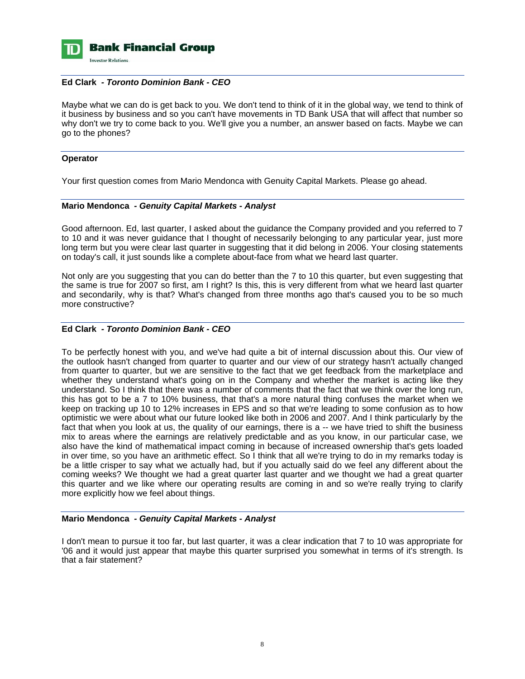

### **Ed Clark** *- Toronto Dominion Bank - CEO*

Maybe what we can do is get back to you. We don't tend to think of it in the global way, we tend to think of it business by business and so you can't have movements in TD Bank USA that will affect that number so why don't we try to come back to you. We'll give you a number, an answer based on facts. Maybe we can go to the phones?

#### **Operator**

Your first question comes from Mario Mendonca with Genuity Capital Markets. Please go ahead.

#### **Mario Mendonca** *- Genuity Capital Markets - Analyst*

Good afternoon. Ed, last quarter, I asked about the guidance the Company provided and you referred to 7 to 10 and it was never guidance that I thought of necessarily belonging to any particular year, just more long term but you were clear last quarter in suggesting that it did belong in 2006. Your closing statements on today's call, it just sounds like a complete about-face from what we heard last quarter.

Not only are you suggesting that you can do better than the 7 to 10 this quarter, but even suggesting that the same is true for 2007 so first, am I right? Is this, this is very different from what we heard last quarter and secondarily, why is that? What's changed from three months ago that's caused you to be so much more constructive?

## **Ed Clark** *- Toronto Dominion Bank - CEO*

To be perfectly honest with you, and we've had quite a bit of internal discussion about this. Our view of the outlook hasn't changed from quarter to quarter and our view of our strategy hasn't actually changed from quarter to quarter, but we are sensitive to the fact that we get feedback from the marketplace and whether they understand what's going on in the Company and whether the market is acting like they understand. So I think that there was a number of comments that the fact that we think over the long run, this has got to be a 7 to 10% business, that that's a more natural thing confuses the market when we keep on tracking up 10 to 12% increases in EPS and so that we're leading to some confusion as to how optimistic we were about what our future looked like both in 2006 and 2007. And I think particularly by the fact that when you look at us, the quality of our earnings, there is a -- we have tried to shift the business mix to areas where the earnings are relatively predictable and as you know, in our particular case, we also have the kind of mathematical impact coming in because of increased ownership that's gets loaded in over time, so you have an arithmetic effect. So I think that all we're trying to do in my remarks today is be a little crisper to say what we actually had, but if you actually said do we feel any different about the coming weeks? We thought we had a great quarter last quarter and we thought we had a great quarter this quarter and we like where our operating results are coming in and so we're really trying to clarify more explicitly how we feel about things.

## **Mario Mendonca** *- Genuity Capital Markets - Analyst*

I don't mean to pursue it too far, but last quarter, it was a clear indication that 7 to 10 was appropriate for '06 and it would just appear that maybe this quarter surprised you somewhat in terms of it's strength. Is that a fair statement?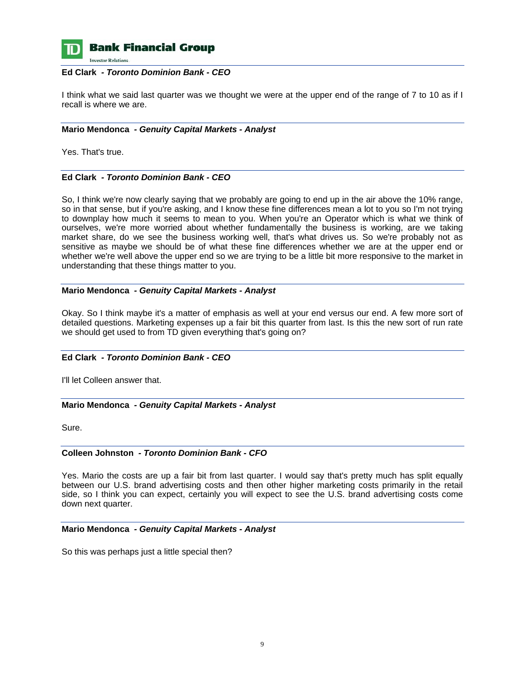

**Bank Financial Group** 

**Investor Relations** 

#### **Ed Clark** *- Toronto Dominion Bank - CEO*

I think what we said last quarter was we thought we were at the upper end of the range of 7 to 10 as if I recall is where we are.

### **Mario Mendonca** *- Genuity Capital Markets - Analyst*

Yes. That's true.

## **Ed Clark** *- Toronto Dominion Bank - CEO*

So, I think we're now clearly saying that we probably are going to end up in the air above the 10% range, so in that sense, but if you're asking, and I know these fine differences mean a lot to you so I'm not trying to downplay how much it seems to mean to you. When you're an Operator which is what we think of ourselves, we're more worried about whether fundamentally the business is working, are we taking market share, do we see the business working well, that's what drives us. So we're probably not as sensitive as maybe we should be of what these fine differences whether we are at the upper end or whether we're well above the upper end so we are trying to be a little bit more responsive to the market in understanding that these things matter to you.

#### **Mario Mendonca** *- Genuity Capital Markets - Analyst*

Okay. So I think maybe it's a matter of emphasis as well at your end versus our end. A few more sort of detailed questions. Marketing expenses up a fair bit this quarter from last. Is this the new sort of run rate we should get used to from TD given everything that's going on?

## **Ed Clark** *- Toronto Dominion Bank - CEO*

I'll let Colleen answer that.

## **Mario Mendonca** *- Genuity Capital Markets - Analyst*

Sure.

## **Colleen Johnston** *- Toronto Dominion Bank - CFO*

Yes. Mario the costs are up a fair bit from last quarter. I would say that's pretty much has split equally between our U.S. brand advertising costs and then other higher marketing costs primarily in the retail side, so I think you can expect, certainly you will expect to see the U.S. brand advertising costs come down next quarter.

## **Mario Mendonca** *- Genuity Capital Markets - Analyst*

So this was perhaps just a little special then?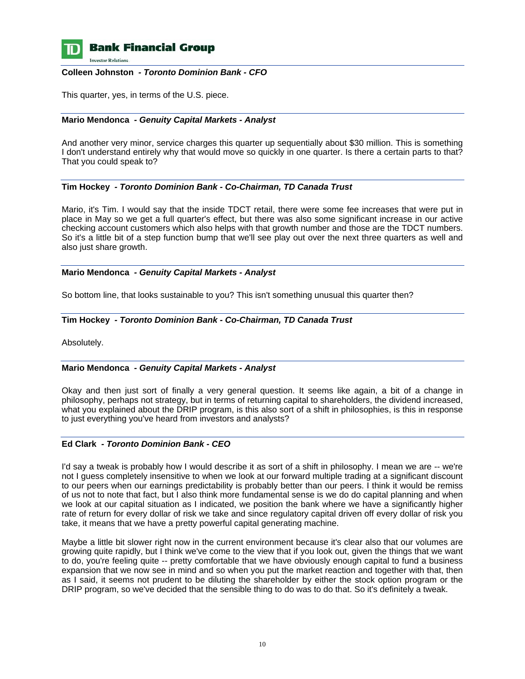

## **Bank Financial Group**

**Investor Relations** 

#### **Colleen Johnston** *- Toronto Dominion Bank - CFO*

This quarter, yes, in terms of the U.S. piece.

## **Mario Mendonca** *- Genuity Capital Markets - Analyst*

And another very minor, service charges this quarter up sequentially about \$30 million. This is something I don't understand entirely why that would move so quickly in one quarter. Is there a certain parts to that? That you could speak to?

## **Tim Hockey** *- Toronto Dominion Bank - Co-Chairman, TD Canada Trust*

Mario, it's Tim. I would say that the inside TDCT retail, there were some fee increases that were put in place in May so we get a full quarter's effect, but there was also some significant increase in our active checking account customers which also helps with that growth number and those are the TDCT numbers. So it's a little bit of a step function bump that we'll see play out over the next three quarters as well and also just share growth.

#### **Mario Mendonca** *- Genuity Capital Markets - Analyst*

So bottom line, that looks sustainable to you? This isn't something unusual this quarter then?

#### **Tim Hockey** *- Toronto Dominion Bank - Co-Chairman, TD Canada Trust*

Absolutely.

## **Mario Mendonca** *- Genuity Capital Markets - Analyst*

Okay and then just sort of finally a very general question. It seems like again, a bit of a change in philosophy, perhaps not strategy, but in terms of returning capital to shareholders, the dividend increased, what you explained about the DRIP program, is this also sort of a shift in philosophies, is this in response to just everything you've heard from investors and analysts?

## **Ed Clark** *- Toronto Dominion Bank - CEO*

I'd say a tweak is probably how I would describe it as sort of a shift in philosophy. I mean we are -- we're not I guess completely insensitive to when we look at our forward multiple trading at a significant discount to our peers when our earnings predictability is probably better than our peers. I think it would be remiss of us not to note that fact, but I also think more fundamental sense is we do do capital planning and when we look at our capital situation as I indicated, we position the bank where we have a significantly higher rate of return for every dollar of risk we take and since regulatory capital driven off every dollar of risk you take, it means that we have a pretty powerful capital generating machine.

Maybe a little bit slower right now in the current environment because it's clear also that our volumes are growing quite rapidly, but I think we've come to the view that if you look out, given the things that we want to do, you're feeling quite -- pretty comfortable that we have obviously enough capital to fund a business expansion that we now see in mind and so when you put the market reaction and together with that, then as I said, it seems not prudent to be diluting the shareholder by either the stock option program or the DRIP program, so we've decided that the sensible thing to do was to do that. So it's definitely a tweak.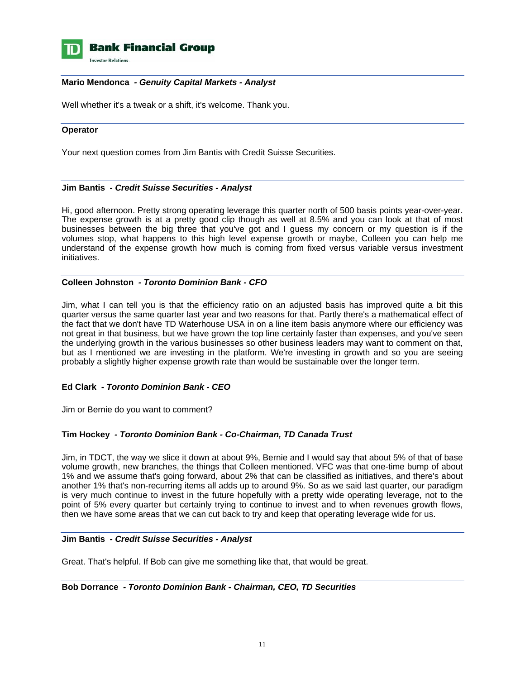

## **Bank Financial Group**

**Investor Relations** 

#### **Mario Mendonca** *- Genuity Capital Markets - Analyst*

Well whether it's a tweak or a shift, it's welcome. Thank you.

#### **Operator**

Your next question comes from Jim Bantis with Credit Suisse Securities.

#### **Jim Bantis** *- Credit Suisse Securities - Analyst*

Hi, good afternoon. Pretty strong operating leverage this quarter north of 500 basis points year-over-year. The expense growth is at a pretty good clip though as well at 8.5% and you can look at that of most businesses between the big three that you've got and I guess my concern or my question is if the volumes stop, what happens to this high level expense growth or maybe, Colleen you can help me understand of the expense growth how much is coming from fixed versus variable versus investment initiatives.

## **Colleen Johnston** *- Toronto Dominion Bank - CFO*

Jim, what I can tell you is that the efficiency ratio on an adjusted basis has improved quite a bit this quarter versus the same quarter last year and two reasons for that. Partly there's a mathematical effect of the fact that we don't have TD Waterhouse USA in on a line item basis anymore where our efficiency was not great in that business, but we have grown the top line certainly faster than expenses, and you've seen the underlying growth in the various businesses so other business leaders may want to comment on that, but as I mentioned we are investing in the platform. We're investing in growth and so you are seeing probably a slightly higher expense growth rate than would be sustainable over the longer term.

## **Ed Clark** *- Toronto Dominion Bank - CEO*

Jim or Bernie do you want to comment?

## **Tim Hockey** *- Toronto Dominion Bank - Co-Chairman, TD Canada Trust*

Jim, in TDCT, the way we slice it down at about 9%, Bernie and I would say that about 5% of that of base volume growth, new branches, the things that Colleen mentioned. VFC was that one-time bump of about 1% and we assume that's going forward, about 2% that can be classified as initiatives, and there's about another 1% that's non-recurring items all adds up to around 9%. So as we said last quarter, our paradigm is very much continue to invest in the future hopefully with a pretty wide operating leverage, not to the point of 5% every quarter but certainly trying to continue to invest and to when revenues growth flows, then we have some areas that we can cut back to try and keep that operating leverage wide for us.

#### **Jim Bantis** *- Credit Suisse Securities - Analyst*

Great. That's helpful. If Bob can give me something like that, that would be great.

#### **Bob Dorrance** *- Toronto Dominion Bank - Chairman, CEO, TD Securities*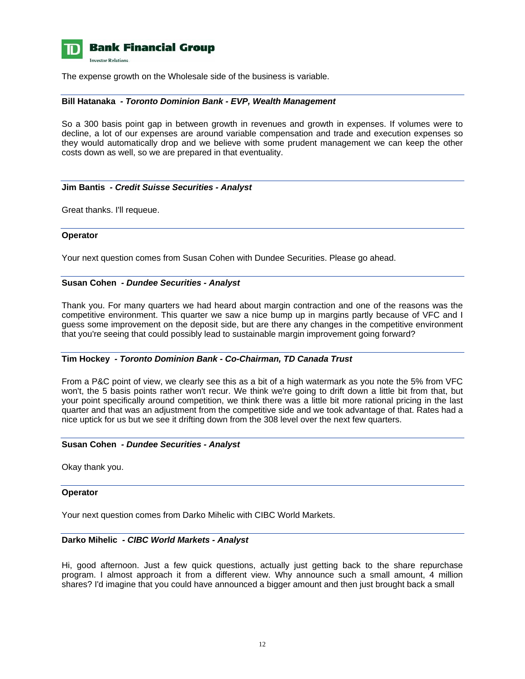

The expense growth on the Wholesale side of the business is variable.

## **Bill Hatanaka** *- Toronto Dominion Bank - EVP, Wealth Management*

So a 300 basis point gap in between growth in revenues and growth in expenses. If volumes were to decline, a lot of our expenses are around variable compensation and trade and execution expenses so they would automatically drop and we believe with some prudent management we can keep the other costs down as well, so we are prepared in that eventuality.

#### **Jim Bantis** *- Credit Suisse Securities - Analyst*

Great thanks. I'll requeue.

#### **Operator**

Your next question comes from Susan Cohen with Dundee Securities. Please go ahead.

#### **Susan Cohen** *- Dundee Securities - Analyst*

Thank you. For many quarters we had heard about margin contraction and one of the reasons was the competitive environment. This quarter we saw a nice bump up in margins partly because of VFC and I guess some improvement on the deposit side, but are there any changes in the competitive environment that you're seeing that could possibly lead to sustainable margin improvement going forward?

## **Tim Hockey** *- Toronto Dominion Bank - Co-Chairman, TD Canada Trust*

From a P&C point of view, we clearly see this as a bit of a high watermark as you note the 5% from VFC won't, the 5 basis points rather won't recur. We think we're going to drift down a little bit from that, but your point specifically around competition, we think there was a little bit more rational pricing in the last quarter and that was an adjustment from the competitive side and we took advantage of that. Rates had a nice uptick for us but we see it drifting down from the 308 level over the next few quarters.

## **Susan Cohen** *- Dundee Securities - Analyst*

Okay thank you.

#### **Operator**

Your next question comes from Darko Mihelic with CIBC World Markets.

## **Darko Mihelic** *- CIBC World Markets - Analyst*

Hi, good afternoon. Just a few quick questions, actually just getting back to the share repurchase program. I almost approach it from a different view. Why announce such a small amount, 4 million shares? I'd imagine that you could have announced a bigger amount and then just brought back a small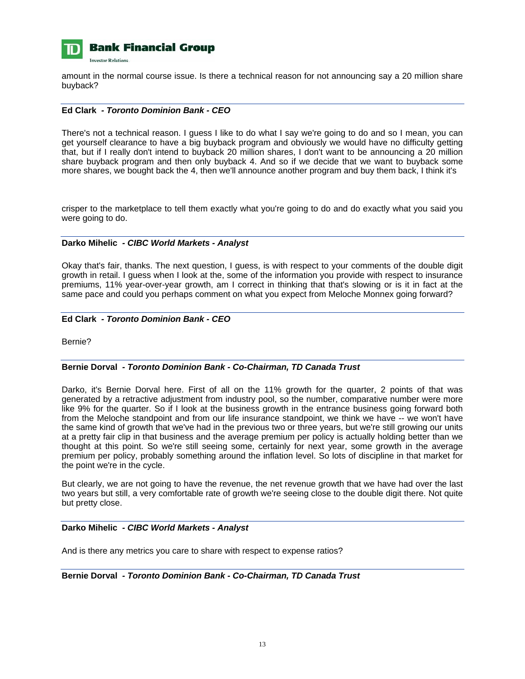

amount in the normal course issue. Is there a technical reason for not announcing say a 20 million share buyback?

### **Ed Clark** *- Toronto Dominion Bank - CEO*

There's not a technical reason. I guess I like to do what I say we're going to do and so I mean, you can get yourself clearance to have a big buyback program and obviously we would have no difficulty getting that, but if I really don't intend to buyback 20 million shares, I don't want to be announcing a 20 million share buyback program and then only buyback 4. And so if we decide that we want to buyback some more shares, we bought back the 4, then we'll announce another program and buy them back, I think it's

crisper to the marketplace to tell them exactly what you're going to do and do exactly what you said you were going to do.

## **Darko Mihelic** *- CIBC World Markets - Analyst*

Okay that's fair, thanks. The next question, I guess, is with respect to your comments of the double digit growth in retail. I guess when I look at the, some of the information you provide with respect to insurance premiums, 11% year-over-year growth, am I correct in thinking that that's slowing or is it in fact at the same pace and could you perhaps comment on what you expect from Meloche Monnex going forward?

#### **Ed Clark** *- Toronto Dominion Bank - CEO*

Bernie?

## **Bernie Dorval** *- Toronto Dominion Bank - Co-Chairman, TD Canada Trust*

Darko, it's Bernie Dorval here. First of all on the 11% growth for the quarter, 2 points of that was generated by a retractive adjustment from industry pool, so the number, comparative number were more like 9% for the quarter. So if I look at the business growth in the entrance business going forward both from the Meloche standpoint and from our life insurance standpoint, we think we have -- we won't have the same kind of growth that we've had in the previous two or three years, but we're still growing our units at a pretty fair clip in that business and the average premium per policy is actually holding better than we thought at this point. So we're still seeing some, certainly for next year, some growth in the average premium per policy, probably something around the inflation level. So lots of discipline in that market for the point we're in the cycle.

But clearly, we are not going to have the revenue, the net revenue growth that we have had over the last two years but still, a very comfortable rate of growth we're seeing close to the double digit there. Not quite but pretty close.

#### **Darko Mihelic** *- CIBC World Markets - Analyst*

And is there any metrics you care to share with respect to expense ratios?

**Bernie Dorval** *- Toronto Dominion Bank - Co-Chairman, TD Canada Trust*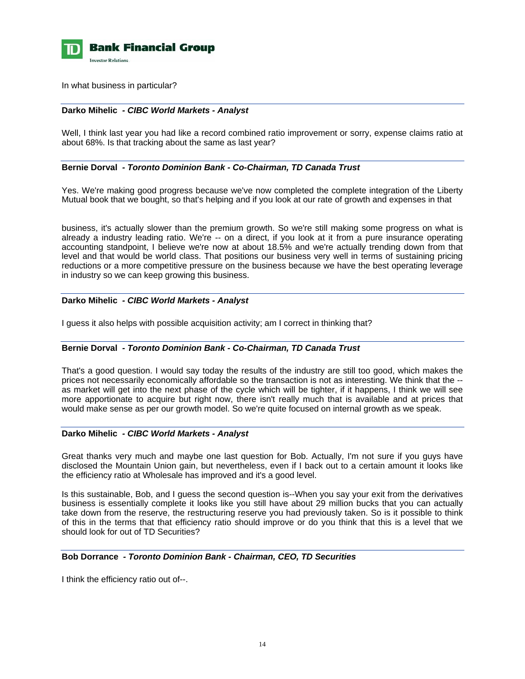

In what business in particular?

### **Darko Mihelic** *- CIBC World Markets - Analyst*

Well, I think last year you had like a record combined ratio improvement or sorry, expense claims ratio at about 68%. Is that tracking about the same as last year?

#### **Bernie Dorval** *- Toronto Dominion Bank - Co-Chairman, TD Canada Trust*

Yes. We're making good progress because we've now completed the complete integration of the Liberty Mutual book that we bought, so that's helping and if you look at our rate of growth and expenses in that

business, it's actually slower than the premium growth. So we're still making some progress on what is already a industry leading ratio. We're -- on a direct, if you look at it from a pure insurance operating accounting standpoint, I believe we're now at about 18.5% and we're actually trending down from that level and that would be world class. That positions our business very well in terms of sustaining pricing reductions or a more competitive pressure on the business because we have the best operating leverage in industry so we can keep growing this business.

#### **Darko Mihelic** *- CIBC World Markets - Analyst*

I guess it also helps with possible acquisition activity; am I correct in thinking that?

#### **Bernie Dorval** *- Toronto Dominion Bank - Co-Chairman, TD Canada Trust*

That's a good question. I would say today the results of the industry are still too good, which makes the prices not necessarily economically affordable so the transaction is not as interesting. We think that the - as market will get into the next phase of the cycle which will be tighter, if it happens, I think we will see more apportionate to acquire but right now, there isn't really much that is available and at prices that would make sense as per our growth model. So we're quite focused on internal growth as we speak.

#### **Darko Mihelic** *- CIBC World Markets - Analyst*

Great thanks very much and maybe one last question for Bob. Actually, I'm not sure if you guys have disclosed the Mountain Union gain, but nevertheless, even if I back out to a certain amount it looks like the efficiency ratio at Wholesale has improved and it's a good level.

Is this sustainable, Bob, and I guess the second question is--When you say your exit from the derivatives business is essentially complete it looks like you still have about 29 million bucks that you can actually take down from the reserve, the restructuring reserve you had previously taken. So is it possible to think of this in the terms that that efficiency ratio should improve or do you think that this is a level that we should look for out of TD Securities?

## **Bob Dorrance** *- Toronto Dominion Bank - Chairman, CEO, TD Securities*

I think the efficiency ratio out of--.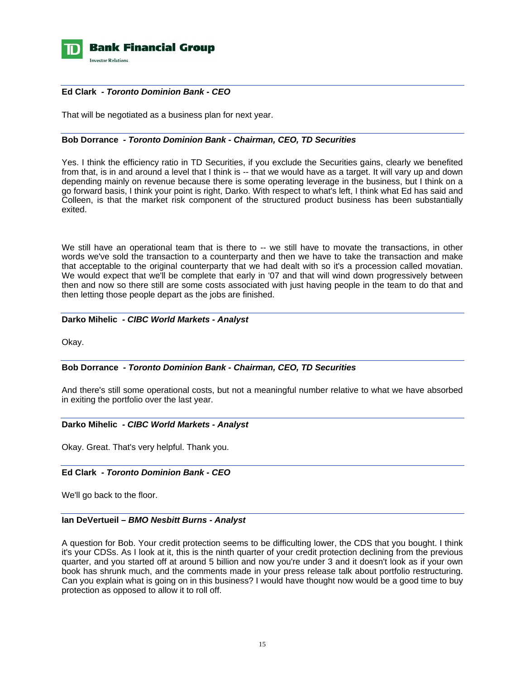

## **Ed Clark** *- Toronto Dominion Bank - CEO*

That will be negotiated as a business plan for next year.

## **Bob Dorrance** *- Toronto Dominion Bank - Chairman, CEO, TD Securities*

Yes. I think the efficiency ratio in TD Securities, if you exclude the Securities gains, clearly we benefited from that, is in and around a level that I think is -- that we would have as a target. It will vary up and down depending mainly on revenue because there is some operating leverage in the business, but I think on a go forward basis, I think your point is right, Darko. With respect to what's left, I think what Ed has said and Colleen, is that the market risk component of the structured product business has been substantially exited.

We still have an operational team that is there to -- we still have to movate the transactions, in other words we've sold the transaction to a counterparty and then we have to take the transaction and make that acceptable to the original counterparty that we had dealt with so it's a procession called movatian. We would expect that we'll be complete that early in '07 and that will wind down progressively between then and now so there still are some costs associated with just having people in the team to do that and then letting those people depart as the jobs are finished.

## **Darko Mihelic** *- CIBC World Markets - Analyst*

Okay.

## **Bob Dorrance** *- Toronto Dominion Bank - Chairman, CEO, TD Securities*

And there's still some operational costs, but not a meaningful number relative to what we have absorbed in exiting the portfolio over the last year.

#### **Darko Mihelic** *- CIBC World Markets - Analyst*

Okay. Great. That's very helpful. Thank you.

## **Ed Clark** *- Toronto Dominion Bank - CEO*

We'll go back to the floor.

## **Ian DeVertueil –** *BMO Nesbitt Burns - Analyst*

A question for Bob. Your credit protection seems to be difficulting lower, the CDS that you bought. I think it's your CDSs. As I look at it, this is the ninth quarter of your credit protection declining from the previous quarter, and you started off at around 5 billion and now you're under 3 and it doesn't look as if your own book has shrunk much, and the comments made in your press release talk about portfolio restructuring. Can you explain what is going on in this business? I would have thought now would be a good time to buy protection as opposed to allow it to roll off.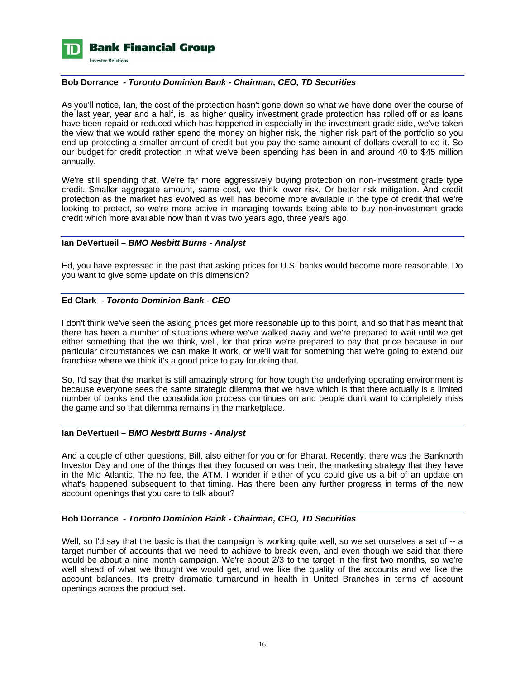

## **Bob Dorrance** *- Toronto Dominion Bank - Chairman, CEO, TD Securities*

As you'll notice, Ian, the cost of the protection hasn't gone down so what we have done over the course of the last year, year and a half, is, as higher quality investment grade protection has rolled off or as loans have been repaid or reduced which has happened in especially in the investment grade side, we've taken the view that we would rather spend the money on higher risk, the higher risk part of the portfolio so you end up protecting a smaller amount of credit but you pay the same amount of dollars overall to do it. So our budget for credit protection in what we've been spending has been in and around 40 to \$45 million annually.

We're still spending that. We're far more aggressively buying protection on non-investment grade type credit. Smaller aggregate amount, same cost, we think lower risk. Or better risk mitigation. And credit protection as the market has evolved as well has become more available in the type of credit that we're looking to protect, so we're more active in managing towards being able to buy non-investment grade credit which more available now than it was two years ago, three years ago.

#### **Ian DeVertueil –** *BMO Nesbitt Burns - Analyst*

Ed, you have expressed in the past that asking prices for U.S. banks would become more reasonable. Do you want to give some update on this dimension?

#### **Ed Clark** *- Toronto Dominion Bank - CEO*

I don't think we've seen the asking prices get more reasonable up to this point, and so that has meant that there has been a number of situations where we've walked away and we're prepared to wait until we get either something that the we think, well, for that price we're prepared to pay that price because in our particular circumstances we can make it work, or we'll wait for something that we're going to extend our franchise where we think it's a good price to pay for doing that.

So, I'd say that the market is still amazingly strong for how tough the underlying operating environment is because everyone sees the same strategic dilemma that we have which is that there actually is a limited number of banks and the consolidation process continues on and people don't want to completely miss the game and so that dilemma remains in the marketplace.

#### **Ian DeVertueil –** *BMO Nesbitt Burns - Analyst*

And a couple of other questions, Bill, also either for you or for Bharat. Recently, there was the Banknorth Investor Day and one of the things that they focused on was their, the marketing strategy that they have in the Mid Atlantic, The no fee, the ATM. I wonder if either of you could give us a bit of an update on what's happened subsequent to that timing. Has there been any further progress in terms of the new account openings that you care to talk about?

#### **Bob Dorrance** *- Toronto Dominion Bank - Chairman, CEO, TD Securities*

Well, so I'd say that the basic is that the campaign is working quite well, so we set ourselves a set of -- a target number of accounts that we need to achieve to break even, and even though we said that there would be about a nine month campaign. We're about 2/3 to the target in the first two months, so we're well ahead of what we thought we would get, and we like the quality of the accounts and we like the account balances. It's pretty dramatic turnaround in health in United Branches in terms of account openings across the product set.